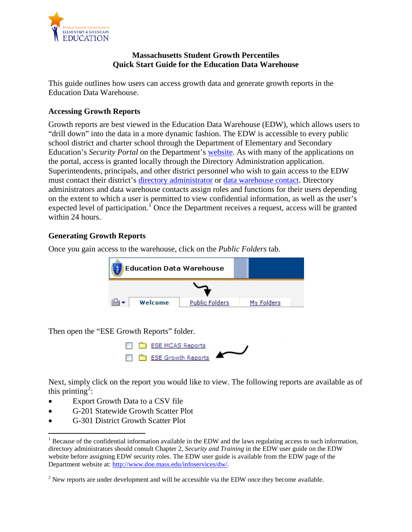<span id="page-0-1"></span>

## **Massachusetts Student Growth Percentiles Quick Start Guide for the Education Data Warehouse**

This guide outlines how users can access growth data and generate growth reports in the Education Data Warehouse.

## **Accessing Growth Reports**

Growth reports are best viewed in the Education Data Warehouse (EDW), which allows users to "drill down" into the data in a more dynamic fashion. The EDW is accessible to every public school district and charter school through the Department of Elementary and Secondary Education's *Security Portal* on the Department's [website.](https://www4.doemass.org/auth/Login) As with many of the applications on the portal, access is granted locally through the Directory Administration application. Superintendents, principals, and other district personnel who wish to gain access to the EDW must contact their district's [directory administrator](http://www.doe.mass.edu/infoservices/data/diradmin/list.aspx) or [data warehouse contact.](http://profiles.doe.mass.edu/search/search.aspx?leftNavId=11239) Directory administrators and data warehouse contacts assign roles and functions for their users depending on the extent to which a user is permitted to view confidential information, as well as the user's expected level of participation.<sup>[1](#page-0-0)</sup> Once the Department receives a request, access will be granted within 24 hours.

## **Generating Growth Reports**

Once you gain access to the warehouse, click on the *Public Folders* tab.

| <b>Education Data Warehouse</b> |         |                       |  |            |  |  |
|---------------------------------|---------|-----------------------|--|------------|--|--|
|                                 |         |                       |  |            |  |  |
|                                 | Welcome | <b>Public Folders</b> |  | My Folders |  |  |

Then open the "ESE Growth Reports" folder.



Next, simply click on the report you would like to view. The following reports are available as of this printing<sup>[2](#page-0-1)</sup>:

- Export Growth Data to a CSV file
- G-201 Statewide Growth Scatter Plot
- G-301 District Growth Scatter Plot

 $1$  Because of the confidential information available in the EDW and the laws regulating access to such information, directory administrators should consult Chapter 2, *Security and Training* in the EDW user guide on the EDW website before assigning EDW security roles. The EDW user guide is available from the EDW page of the Department website at: [http://www.doe.mass.edu/infoservices/dw/.](http://www.doe.mass.edu/infoservices/dw/)

<span id="page-0-0"></span> $2$  New reports are under development and will be accessible via the EDW once they become available.